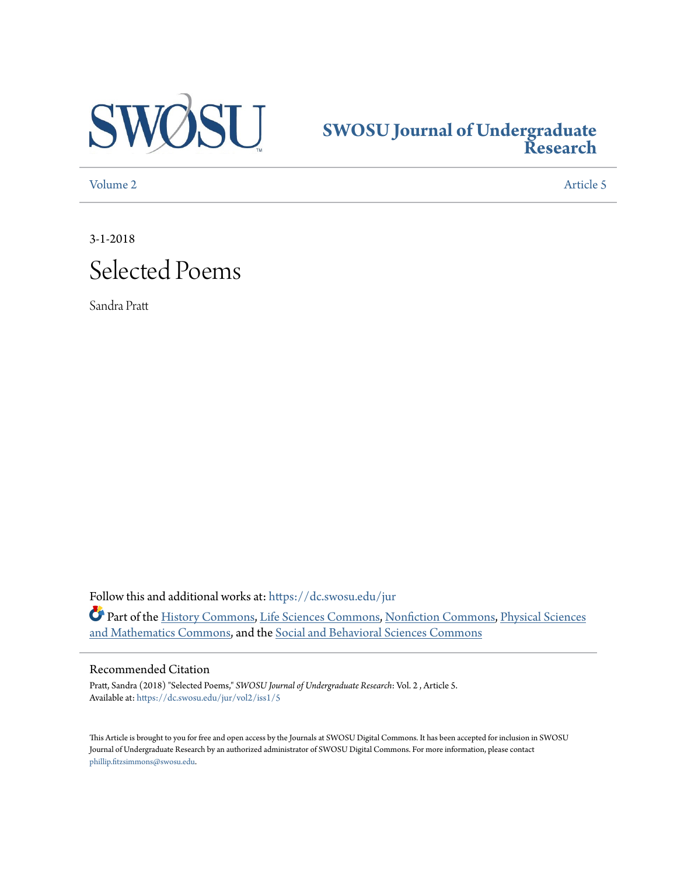

## **[SWOSU Journal of Undergraduate](https://dc.swosu.edu/jur?utm_source=dc.swosu.edu%2Fjur%2Fvol2%2Fiss1%2F5&utm_medium=PDF&utm_campaign=PDFCoverPages) [Research](https://dc.swosu.edu/jur?utm_source=dc.swosu.edu%2Fjur%2Fvol2%2Fiss1%2F5&utm_medium=PDF&utm_campaign=PDFCoverPages)**

[Volume 2](https://dc.swosu.edu/jur/vol2?utm_source=dc.swosu.edu%2Fjur%2Fvol2%2Fiss1%2F5&utm_medium=PDF&utm_campaign=PDFCoverPages) [Article 5](https://dc.swosu.edu/jur/vol2/iss1/5?utm_source=dc.swosu.edu%2Fjur%2Fvol2%2Fiss1%2F5&utm_medium=PDF&utm_campaign=PDFCoverPages)

3-1-2018



Sandra Pratt

Follow this and additional works at: [https://dc.swosu.edu/jur](https://dc.swosu.edu/jur?utm_source=dc.swosu.edu%2Fjur%2Fvol2%2Fiss1%2F5&utm_medium=PDF&utm_campaign=PDFCoverPages) Part of the [History Commons](http://network.bepress.com/hgg/discipline/489?utm_source=dc.swosu.edu%2Fjur%2Fvol2%2Fiss1%2F5&utm_medium=PDF&utm_campaign=PDFCoverPages), [Life Sciences Commons,](http://network.bepress.com/hgg/discipline/1016?utm_source=dc.swosu.edu%2Fjur%2Fvol2%2Fiss1%2F5&utm_medium=PDF&utm_campaign=PDFCoverPages) [Nonfiction Commons,](http://network.bepress.com/hgg/discipline/1152?utm_source=dc.swosu.edu%2Fjur%2Fvol2%2Fiss1%2F5&utm_medium=PDF&utm_campaign=PDFCoverPages) [Physical Sciences](http://network.bepress.com/hgg/discipline/114?utm_source=dc.swosu.edu%2Fjur%2Fvol2%2Fiss1%2F5&utm_medium=PDF&utm_campaign=PDFCoverPages) [and Mathematics Commons,](http://network.bepress.com/hgg/discipline/114?utm_source=dc.swosu.edu%2Fjur%2Fvol2%2Fiss1%2F5&utm_medium=PDF&utm_campaign=PDFCoverPages) and the [Social and Behavioral Sciences Commons](http://network.bepress.com/hgg/discipline/316?utm_source=dc.swosu.edu%2Fjur%2Fvol2%2Fiss1%2F5&utm_medium=PDF&utm_campaign=PDFCoverPages)

#### Recommended Citation

Pratt, Sandra (2018) "Selected Poems," *SWOSU Journal of Undergraduate Research*: Vol. 2 , Article 5. Available at: [https://dc.swosu.edu/jur/vol2/iss1/5](https://dc.swosu.edu/jur/vol2/iss1/5?utm_source=dc.swosu.edu%2Fjur%2Fvol2%2Fiss1%2F5&utm_medium=PDF&utm_campaign=PDFCoverPages)

This Article is brought to you for free and open access by the Journals at SWOSU Digital Commons. It has been accepted for inclusion in SWOSU Journal of Undergraduate Research by an authorized administrator of SWOSU Digital Commons. For more information, please contact [phillip.fitzsimmons@swosu.edu](mailto:phillip.fitzsimmons@swosu.edu).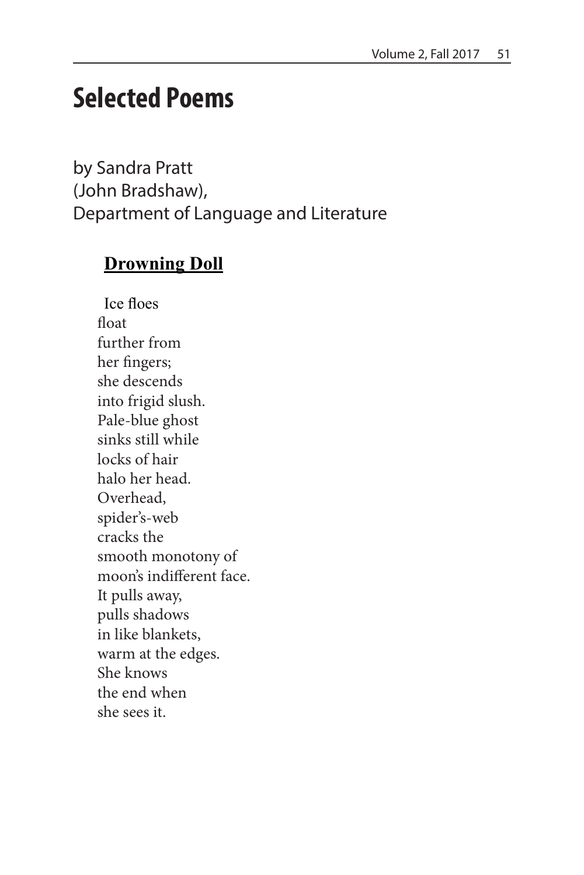# **Selected Poems**

by Sandra Pratt (John Bradshaw), Department of Language and Literature

#### **Drowning Doll**

Ice floes float further from her fingers; she descends into frigid slush. Pale-blue ghost sinks still while locks of hair halo her head. Overhead, spider's-web cracks the smooth monotony of moon's indifferent face. It pulls away, pulls shadows in like blankets, warm at the edges. She knows the end when she sees it.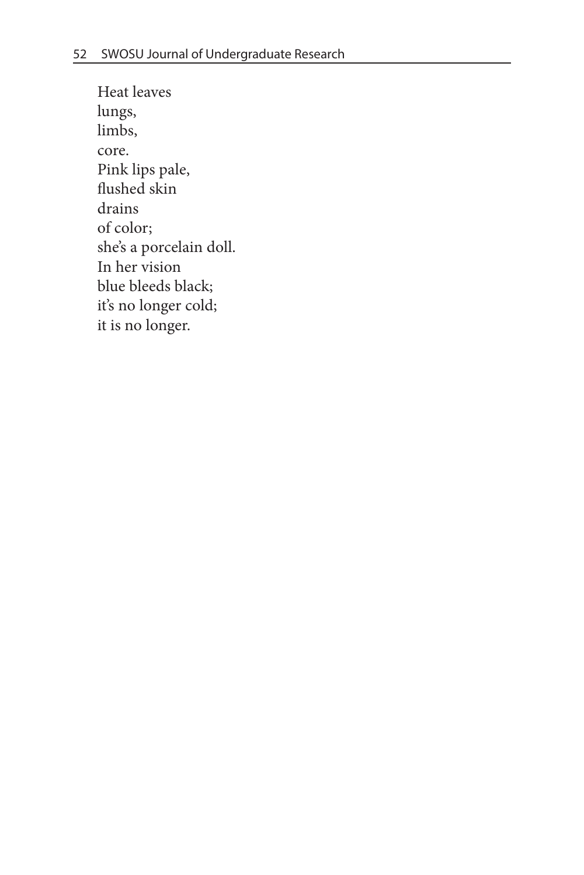Heat leaves lungs, limbs, core. Pink lips pale, flushed skin drains of color; she's a porcelain doll. In her vision blue bleeds black; it's no longer cold; it is no longer.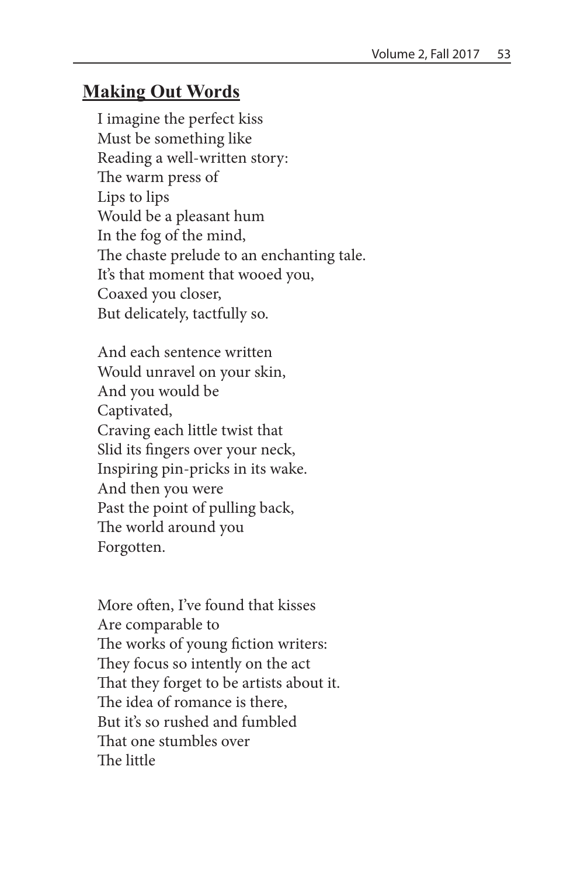#### **Making Out Words**

I imagine the perfect kiss Must be something like Reading a well-written story: The warm press of Lips to lips Would be a pleasant hum In the fog of the mind, The chaste prelude to an enchanting tale. It's that moment that wooed you, Coaxed you closer, But delicately, tactfully so.

And each sentence written Would unravel on your skin, And you would be Captivated, Craving each little twist that Slid its fingers over your neck, Inspiring pin-pricks in its wake. And then you were Past the point of pulling back, The world around you Forgotten.

More often, I've found that kisses Are comparable to The works of young fiction writers: They focus so intently on the act That they forget to be artists about it. The idea of romance is there, But it's so rushed and fumbled That one stumbles over The little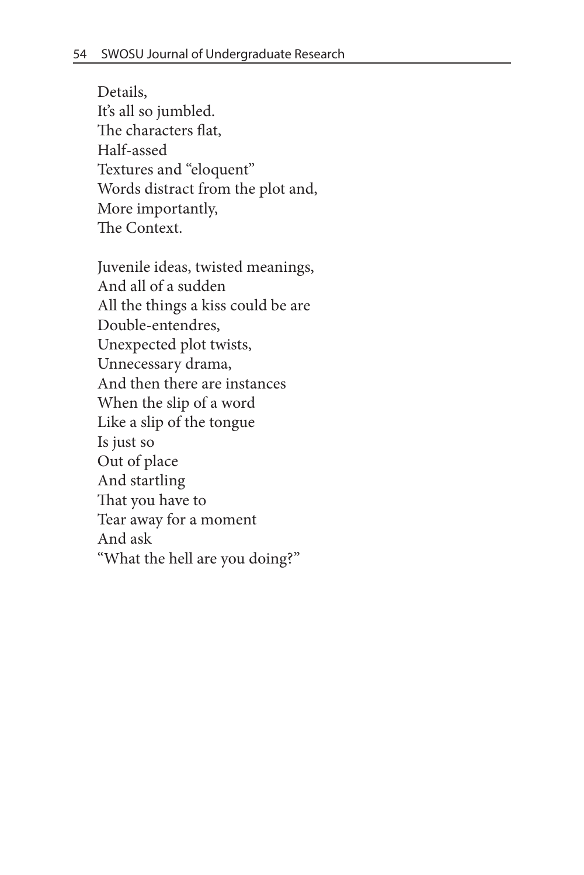Details, It's all so jumbled. The characters flat, Half-assed Textures and "eloquent" Words distract from the plot and, More importantly, The Context.

Juvenile ideas, twisted meanings, And all of a sudden All the things a kiss could be are Double-entendres, Unexpected plot twists, Unnecessary drama, And then there are instances When the slip of a word Like a slip of the tongue Is just so Out of place And startling That you have to Tear away for a moment And ask "What the hell are you doing?"